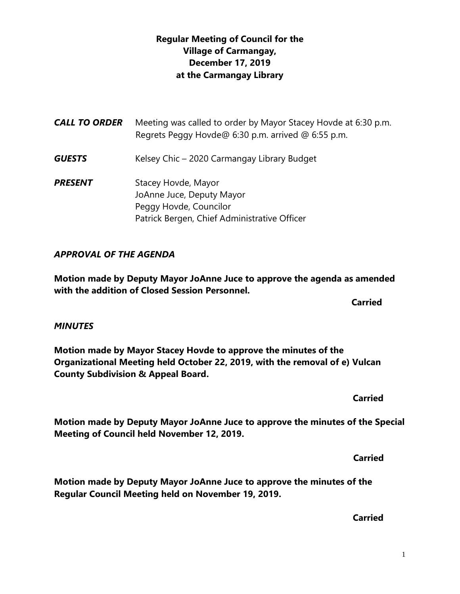## **Regular Meeting of Council for the Village of Carmangay, December 17, 2019 at the Carmangay Library**

*CALL TO ORDER* Meeting was called to order by Mayor Stacey Hovde at 6:30 p.m. Regrets Peggy Hovde@ 6:30 p.m. arrived @ 6:55 p.m. **GUESTS** Kelsey Chic – 2020 Carmangay Library Budget **PRESENT** Stacey Hovde, Mayor JoAnne Juce, Deputy Mayor Peggy Hovde, Councilor Patrick Bergen, Chief Administrative Officer

## *APPROVAL OF THE AGENDA*

**Meeting of Council held November 12, 2019.**

**Motion made by Deputy Mayor JoAnne Juce to approve the agenda as amended with the addition of Closed Session Personnel.**

**Carried** 

#### *MINUTES*

**Motion made by Mayor Stacey Hovde to approve the minutes of the Organizational Meeting held October 22, 2019, with the removal of e) Vulcan County Subdivision & Appeal Board.**

**Motion made by Deputy Mayor JoAnne Juce to approve the minutes of the Special** 

**Motion made by Deputy Mayor JoAnne Juce to approve the minutes of the Regular Council Meeting held on November 19, 2019.**

 **Carried**

 **Carried**

 **Carried**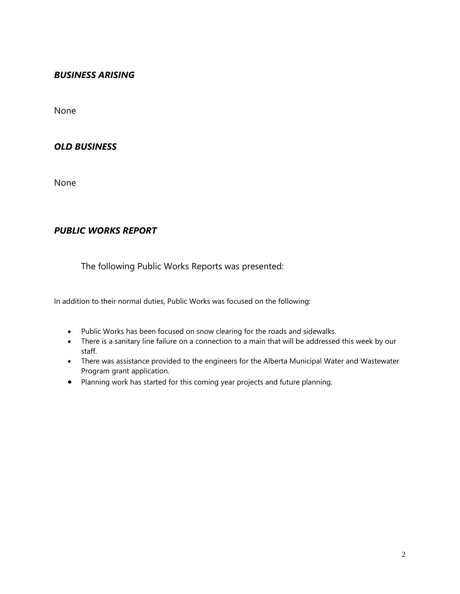#### *BUSINESS ARISING*

None

#### *OLD BUSINESS*

None

### *PUBLIC WORKS REPORT*

The following Public Works Reports was presented:

In addition to their normal duties, Public Works was focused on the following:

- Public Works has been focused on snow clearing for the roads and sidewalks.
- There is a sanitary line failure on a connection to a main that will be addressed this week by our staff.
- There was assistance provided to the engineers for the Alberta Municipal Water and Wastewater Program grant application.
- Planning work has started for this coming year projects and future planning.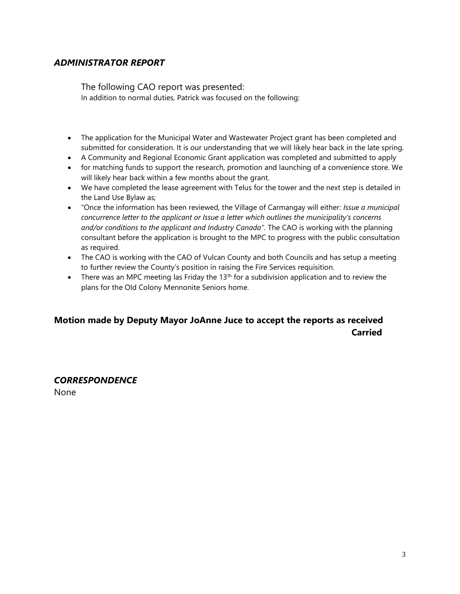#### *ADMINISTRATOR REPORT*

The following CAO report was presented: In addition to normal duties, Patrick was focused on the following:

- The application for the Municipal Water and Wastewater Project grant has been completed and submitted for consideration. It is our understanding that we will likely hear back in the late spring.
- A Community and Regional Economic Grant application was completed and submitted to apply
- for matching funds to support the research, promotion and launching of a convenience store. We will likely hear back within a few months about the grant.
- We have completed the lease agreement with Telus for the tower and the next step is detailed in the Land Use Bylaw as;
- "Once the information has been reviewed, the Village of Carmangay will either: *Issue a municipal concurrence letter to the applicant or Issue a letter which outlines the municipality's concerns and/or conditions to the applicant and Industry Canada".* The CAO is working with the planning consultant before the application is brought to the MPC to progress with the public consultation as required.
- The CAO is working with the CAO of Vulcan County and both Councils and has setup a meeting to further review the County's position in raising the Fire Services requisition.
- There was an MPC meeting las Friday the 13<sup>th</sup> for a subdivision application and to review the plans for the Old Colony Mennonite Seniors home.

## **Motion made by Deputy Mayor JoAnne Juce to accept the reports as received Carried**

#### *CORRESPONDENCE*

None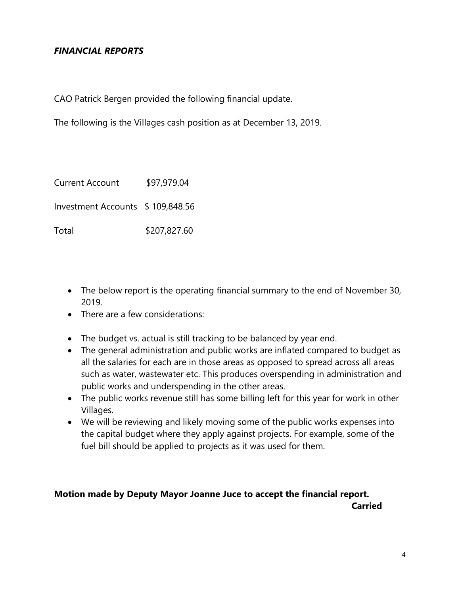## *FINANCIAL REPORTS*

CAO Patrick Bergen provided the following financial update.

The following is the Villages cash position as at December 13, 2019.

| <b>Current Account</b>           | \$97,979.04  |
|----------------------------------|--------------|
| Investment Accounts \$109,848.56 |              |
| Total                            | \$207,827.60 |

- The below report is the operating financial summary to the end of November 30, 2019.
- There are a few considerations:
- The budget vs. actual is still tracking to be balanced by year end.
- The general administration and public works are inflated compared to budget as all the salaries for each are in those areas as opposed to spread across all areas such as water, wastewater etc. This produces overspending in administration and public works and underspending in the other areas.
- The public works revenue still has some billing left for this year for work in other Villages.
- We will be reviewing and likely moving some of the public works expenses into the capital budget where they apply against projects. For example, some of the fuel bill should be applied to projects as it was used for them.

#### **Motion made by Deputy Mayor Joanne Juce to accept the financial report. Carried**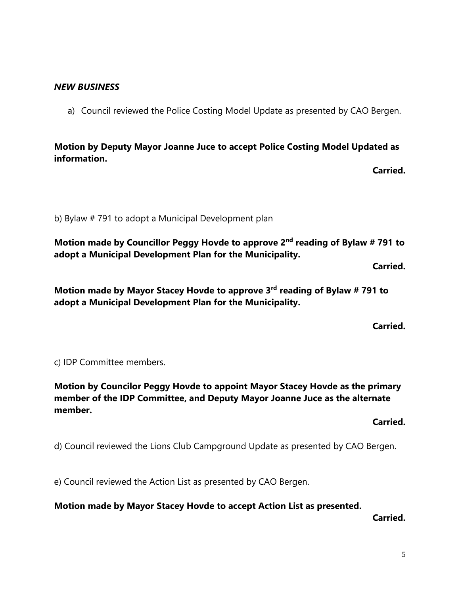### *NEW BUSINESS*

a) Council reviewed the Police Costing Model Update as presented by CAO Bergen.

**Motion by Deputy Mayor Joanne Juce to accept Police Costing Model Updated as information.**

**Carried.**

b) Bylaw # 791 to adopt a Municipal Development plan

**Motion made by Councillor Peggy Hovde to approve 2nd reading of Bylaw # 791 to adopt a Municipal Development Plan for the Municipality.**

**Carried.**

Motion made by Mayor Stacey Hovde to approve 3<sup>rd</sup> reading of Bylaw # 791 to **adopt a Municipal Development Plan for the Municipality.**

**Carried.**

c) IDP Committee members.

**Motion by Councilor Peggy Hovde to appoint Mayor Stacey Hovde as the primary member of the IDP Committee, and Deputy Mayor Joanne Juce as the alternate member.**

**Carried.**

d) Council reviewed the Lions Club Campground Update as presented by CAO Bergen.

e) Council reviewed the Action List as presented by CAO Bergen.

**Motion made by Mayor Stacey Hovde to accept Action List as presented.**

**Carried.**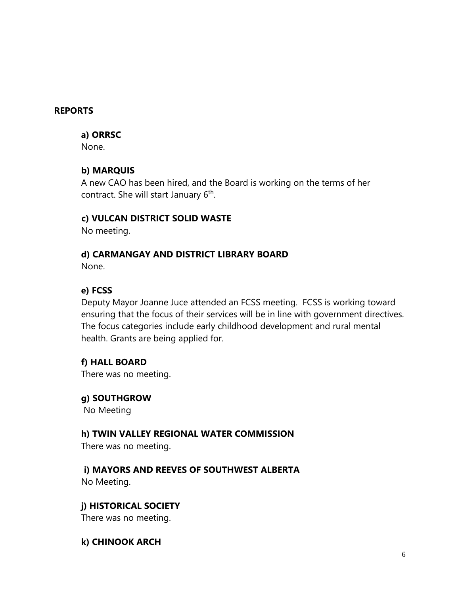### **REPORTS**

#### **a) ORRSC**

None.

## **b) MARQUIS**

A new CAO has been hired, and the Board is working on the terms of her contract. She will start January 6<sup>th</sup>.

### **c) VULCAN DISTRICT SOLID WASTE**

No meeting.

### **d) CARMANGAY AND DISTRICT LIBRARY BOARD**

None.

## **e) FCSS**

Deputy Mayor Joanne Juce attended an FCSS meeting. FCSS is working toward ensuring that the focus of their services will be in line with government directives. The focus categories include early childhood development and rural mental health. Grants are being applied for.

## **f) HALL BOARD**

There was no meeting.

**g) SOUTHGROW** No Meeting

## **h) TWIN VALLEY REGIONAL WATER COMMISSION**

There was no meeting.

 **i) MAYORS AND REEVES OF SOUTHWEST ALBERTA** No Meeting.

## **j) HISTORICAL SOCIETY**

There was no meeting.

## **k) CHINOOK ARCH**